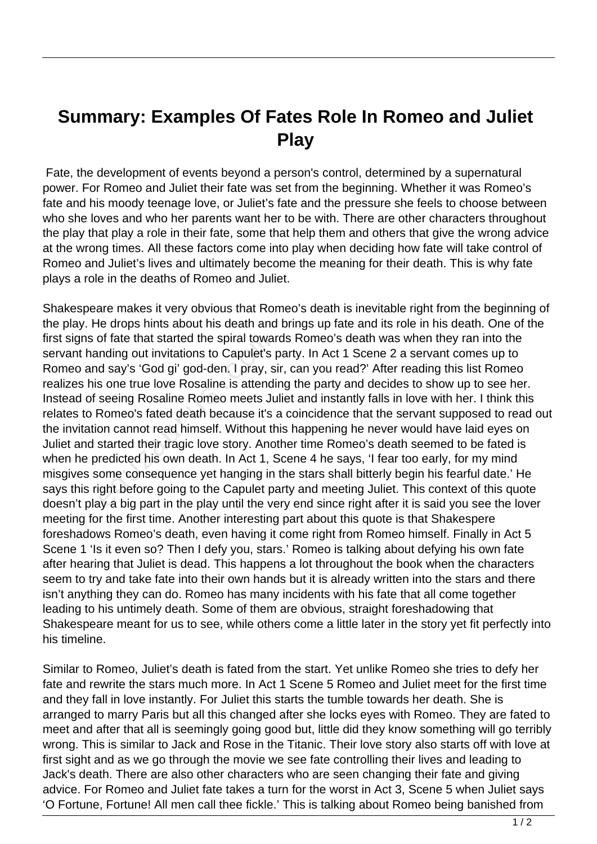## **Summary: Examples Of Fates Role In Romeo and Juliet Play**

 Fate, the development of events beyond a person's control, determined by a supernatural power. For Romeo and Juliet their fate was set from the beginning. Whether it was Romeo's fate and his moody teenage love, or Juliet's fate and the pressure she feels to choose between who she loves and who her parents want her to be with. There are other characters throughout the play that play a role in their fate, some that help them and others that give the wrong advice at the wrong times. All these factors come into play when deciding how fate will take control of Romeo and Juliet's lives and ultimately become the meaning for their death. This is why fate plays a role in the deaths of Romeo and Juliet.

Shakespeare makes it very obvious that Romeo's death is inevitable right from the beginning of the play. He drops hints about his death and brings up fate and its role in his death. One of the first signs of fate that started the spiral towards Romeo's death was when they ran into the servant handing out invitations to Capulet's party. In Act 1 Scene 2 a servant comes up to Romeo and say's 'God gi' god-den. I pray, sir, can you read?' After reading this list Romeo realizes his one true love Rosaline is attending the party and decides to show up to see her. Instead of seeing Rosaline Romeo meets Juliet and instantly falls in love with her. I think this relates to Romeo's fated death because it's a coincidence that the servant supposed to read out the invitation cannot read himself. Without this happening he never would have laid eyes on Juliet and started their tragic love story. Another time Romeo's death seemed to be fated is when he predicted his own death. In Act 1, Scene 4 he says, 'I fear too early, for my mind misgives some consequence yet hanging in the stars shall bitterly begin his fearful date.' He says this right before going to the Capulet party and meeting Juliet. This context of this quote doesn't play a big part in the play until the very end since right after it is said you see the lover meeting for the first time. Another interesting part about this quote is that Shakespere foreshadows Romeo's death, even having it come right from Romeo himself. Finally in Act 5 Scene 1 'Is it even so? Then I defy you, stars.' Romeo is talking about defying his own fate after hearing that Juliet is dead. This happens a lot throughout the book when the characters seem to try and take fate into their own hands but it is already written into the stars and there isn't anything they can do. Romeo has many incidents with his fate that all come together leading to his untimely death. Some of them are obvious, straight foreshadowing that Shakespeare meant for us to see, while others come a little later in the story yet fit perfectly into his timeline. of fate that started the spiral towar<br>nding out invitations to Capulet's µ<br>d say's 'God gi' god-den. I pray, s<br>s one true love Rosaline is attendi<br>seeing Rosaline Romeo meets Ju<br>Romeo's fated death because it's a<br>on cannot

Similar to Romeo, Juliet's death is fated from the start. Yet unlike Romeo she tries to defy her fate and rewrite the stars much more. In Act 1 Scene 5 Romeo and Juliet meet for the first time and they fall in love instantly. For Juliet this starts the tumble towards her death. She is arranged to marry Paris but all this changed after she locks eyes with Romeo. They are fated to meet and after that all is seemingly going good but, little did they know something will go terribly wrong. This is similar to Jack and Rose in the Titanic. Their love story also starts off with love at first sight and as we go through the movie we see fate controlling their lives and leading to Jack's death. There are also other characters who are seen changing their fate and giving advice. For Romeo and Juliet fate takes a turn for the worst in Act 3, Scene 5 when Juliet says 'O Fortune, Fortune! All men call thee fickle.' This is talking about Romeo being banished from